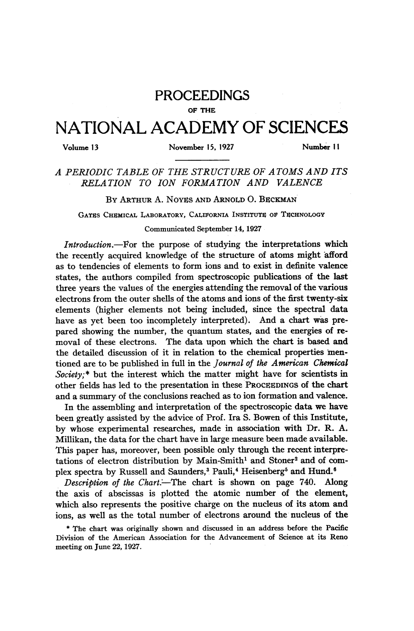## PROCEEDINGS

## OF THE

## NATIONAL ACADEMY OF SCIENCES

Volume <sup>13</sup> November 15, 1927 Number <sup>11</sup>

A PERIODIC TABLE OF THE STRUCTURE OF ATOMS AND ITS RELATION TO ION FORMATION AND VALENCE

BY ARTHUR A. NOYES AND ARNOLD O. BECKMAN

GATES CHEMICAL LABORATORY, CALIFORNIA INSTITUTE OF TECHNOLOGY

Communicated September 14, 1927

Introduction.-- For the purpose of studying the interpretations which the recently acquired knowledge of the structure of atoms might afford as to tendencies of elements to form ions and to exist in definite valence states, the authors compiled from spectroscopic publications of the last three years the values of the energies attending the removal of the various electrons from the outer shells of the atoms and ions of the first twenty-six elements (higher elements not being included, since the spectral data have as yet been too incompletely interpreted). And a chart was prepared showing the number, the quantum states, and the energies of removal of these electrons. The data upon which the chart is based and the detailed discussion of it in relation to the chemical properties mentioned are to be published in full in the Journal of the American Chemical Society;\* but the interest which the matter might have for scientists in other fields has led to the presentation in these PROCIEDINGS of the chart and a summary of the conclusions reached as to ion formation and valence.

In the assembling and interpretation of the spectroscopic data we have been greatly assisted by the advice of Prof. Ira S. Bowen of this Institute, by whose experimental researches, made in association with Dr. R. A. Millikan, the data for the chart have in large measure been made available. This paper has, moreover, been possible only through the recent interpretations of electron distribution by Main-Smith<sup>1</sup> and Stoner<sup>2</sup> and of complex spectra by Russell and Saunders,<sup>3</sup> Pauli,<sup>4</sup> Heisenberg<sup>5</sup> and Hund.<sup>6</sup>

Description of the Chart.-The chart is shown on page 740. Along the axis of abscissas is plotted the atomic number of the element, which also represents the positive charge on the nucleus of its atom and ions, as well as the total number of electrons around the nucleus of the

\* The chart was originally shown and discussed in an address before the Pacific Division of the American Association for the Advancement of Science at its Reno meeting on June 22, 1927.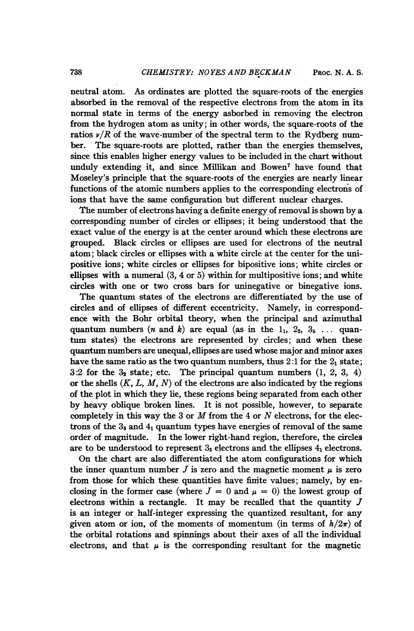neutral atom. As ordinates are plotted the square-roots of the energies absorbed in the removal of the respective electrons from the atom in its normal state in terms of the energy asborbed in removing the electron from the hydrogen atom as unity; in other words, the square-roots of the ratios  $\nu/R$  of the wave-number of the spectral term to the Rydberg number. The square-roots are plotted, rather than the energies themselves, since this enables higher energy values to be included in the chart without unduly extending it, and since Millikan and Bowen<sup>7</sup> have found that Moseley's principle that the square-roots of the energies are nearly linear functions of the atomic numbers applies to the corresponding electrons of ions that have the same configuration but different nuclear charges.

The number of electrons having a definite energy of removal is shown by a corresponding number of circles or ellipses; it being understood. that the exact value of the energy is at the center around which these electrons are grouped. Black circles or ellipses are used for electrons of the neutral atom; black circles or ellipses with a white circle at the center for the unipositive ions; white circles or ellipses for bipositive ions; white circles or ellipses with a numeral  $(3, 4 \text{ or } 5)$  within for multipositive ions; and white circles with one or two cross bars for uninegative or binegative ions.

The quantum states of the electrons are differentiated by the use of circles and of ellipses of different eccentricity. Namely, in correspondence with the Bohr orbital theory, when the principal and azimuthal quantum numbers (*n* and *k*) are equal (as in the  $1_1$ ,  $2_2$ ,  $3_3$ ... quantum states) the electrons are represented by circles; and when these quantum numbers are unequal, ellipses are used whose major and minor axes have the same ratio as the two quantum numbers, thus  $2:1$  for the  $2<sub>1</sub>$  state;  $3:2$  for the  $3<sub>2</sub>$  state; etc. The principal quantum numbers  $(1, 2, 3, 4)$ or the shells  $(K, L, M, N)$  of the electrons are also indicated by the regions of the plot in which they lie, these regions being separated from each other by heavy oblique broken lines. It is not possible, however, to separate completely in this way the 3 or  $M$  from the 4 or  $N$  electrons, for the electrons of the  $3_3$  and  $4_1$  quantum types have energies of removal of the same order of magnitude. In the lower right-hand region, therefore, the circles are to be understood to represent  $3<sub>3</sub>$  electrons and the ellipses  $4<sub>1</sub>$  electrons.

On the chart are also differentiated the atom configurations for which the inner quantum number  $J$  is zero and the magnetic moment  $\mu$  is zero from those for which these quantities have finite values; namely, by enclosing in the former case (where  $J = 0$  and  $\mu = 0$ ) the lowest group of electrons within a rectangle. It may be recalled that the quantity  $J$ is an integer or half-integer expressing the quantized resultant, for any given atom or ion, of the moments of momentum (in terms of  $h/2\pi$ ) of the orbital rotations and spinnings about their axes of all the individual electrons, and that  $\mu$  is the corresponding resultant for the magnetic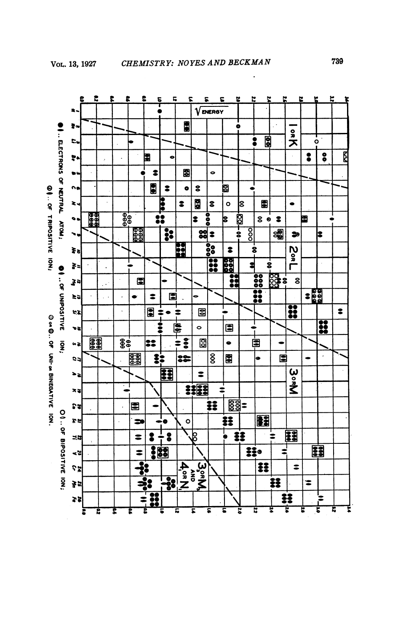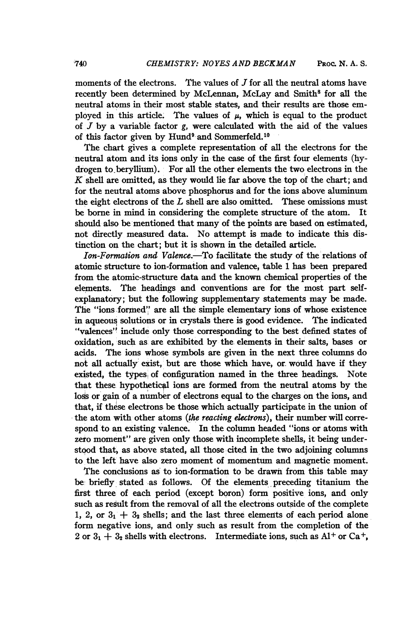moments of the electrons. The values of  $J$  for all the neutral atoms have recently been determined by McLennan, McLay and Smith<sup>8</sup> for all the neutral atoms in their most stable states, and their results are those employed in this article. The values of  $\mu$ , which is equal to the product of  $J$  by a variable factor  $g$ , were calculated with the aid of the values of this factor given by Hund<sup>9</sup> and Sommerfeld.<sup>10</sup>

The chart gives a complete representation of all the electrons for the neutral atom and its ions only in the case of the first four elements (hydrogen to.beryllium). For all the other elements the two electrons in the K shell are omitted, as they would lie far above the top of the chart; and for the neutral atoms above phosphorus and for the ions above aluminum the eight electrons of the  $L$  shell are also omitted. These omissions must be borne in mind in considering the complete structure of the atom. It should also be mentioned that many of the points are based on estimated, not directly, measured data. No attempt is made to indicate this distinction on the chart; but it is shown in the detailed article.

Ion-Formation and Valence.-To facilitate the study of the relations of atomic structure to ion-formation and valence, table <sup>1</sup> has been prepared from the atomic-structure data and the known chemical properties of the elements. The headings and conventions are for the most part selfexplanatory; but the following supplementary statements may be made. The "ions formed" are all the simple elementary ions of whose existence in aqueous solutions or in crystals there is good evidence. The indicated "valences" include only those corresponding to the best defined states of oxidation, such as are exhibited by the, elements in their salts, bases or acids. The ions whose symbols are given in the next three columns do not all actually exist, but are those which have, or. would have if they existed, the types of configuration named in the three headings. Note that these hypothetical ions are formed from the neutral atoms by the loss or gain of a number of electrons equal to the charges on the ions, and that, if these electrons be those which actually participate in the union of the atom with other atoms (the reacting electrons), their number will correspond to an existing valence. In the column headed "ions or atoms with zeto moment" are given only those with incomplete shells, it being understood that, as above stated, all those cited in the two adjoining columns to the left have also zero moment of momentum and magnetic moment.

The conclusions as' to ion-formation to be drawn from this table may be briefly, stated -as follows. Of the elements preceding titanium the first three of each period (except boron) form positive ions, and only such as result from the removal of all the electrons outside of the complete 1, 2, or  $3_1 + 3_2$  shells; and the last three elements of each period alone form negative ions, and only such as result from the completion of the 2 or  $3_1 + 3_2$  shells with electrons. Intermediate ions, such as Al<sup>+</sup> or Ca<sup>+</sup>,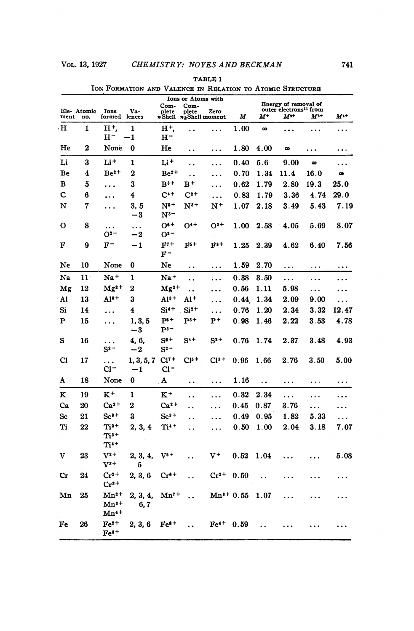|             |                    |                                     |                              | <b>Ions or Atoms with</b><br>Com-<br>Com- |                                       |                            |      | Energy of removal of<br>outer electrons <sup>11</sup> from |              |           |           |
|-------------|--------------------|-------------------------------------|------------------------------|-------------------------------------------|---------------------------------------|----------------------------|------|------------------------------------------------------------|--------------|-----------|-----------|
| ment        | Ele- Atomic<br>no. | <b>Ions</b><br>formed               | Va-<br>lences                | plete                                     | plete<br>$n$ Shell $n_k$ Shell moment | Zero                       | М    | м+                                                         | $M^{\ast +}$ | $M^{1+}$  | $M^{4+}$  |
| н           | 1                  | н+.<br>н-                           | 1<br>$-1$                    | H <sup>+</sup> ,<br>$H^-$                 | $\ddot{\phantom{0}}$                  | $\ddotsc$                  | 1.00 | $\infty$                                                   | .            | .         | .         |
| He          | 2                  | None                                | 0                            | He                                        | $\ddot{\phantom{0}}$                  | $\cdots$                   | 1.80 | 4.00                                                       | $\infty$     | .         | .         |
| Li          | 3                  | Li †                                | 1                            | Li+                                       | . .                                   | .                          | 0.40 | 5.6                                                        | 9.00         | $\infty$  | .         |
| Be          | 4                  | $Be2+$                              | $\bf{2}$                     | $Be2+$                                    | $\ddot{\phantom{0}}$                  | .                          | 0.70 | 1.34                                                       | 11.4         | 16.0      | œ         |
| в           | 5                  | .                                   | 3                            | $B3+$                                     | $_{\rm B^+}$                          | .                          | 0.62 | 1.79                                                       | 2.80         | 19.3      | 25.0      |
| Ċ           | 6                  | $\cdots$                            | 4                            | $C^{4+}$                                  | $C^{2+}$                              | $\ddots$                   | 0.83 | 1.79                                                       | $\bf3.36$    | 4.74      | 29.0      |
| N           | 7                  | .                                   | 3. 5<br>-3                   | $N^{5+}$<br>$N^{3-}$                      | $\mathrm{N}^{3+}$                     | $N^+$                      | 1.07 | 2.18                                                       | 3.49         | 5.43      | 7.19      |
| о           | 8                  | $\cdots$<br>O <sup>2</sup>          | $\ldots$<br>$-2\phantom{.0}$ | $O^{6+}$<br>O <sup>2</sup>                | $O4+$                                 | $O2+$                      | 1.00 | 2.58                                                       | 4.05         | 5.69      | 8.07      |
| F           | 9                  | F-                                  | $-1$                         | $F7+$<br>F-                               | $F^{5+}$                              | $\mathbf{F}^{\mathbf{3+}}$ | 1.25 | 2.39                                                       | 4.62         | 6.40      | 7.56      |
| Ne          | 10                 | None                                | 0                            | Ne                                        | . .                                   | $\ddotsc$                  | 1.59 | 2.70                                                       | .            | $\ddotsc$ | $\ddotsc$ |
| Na          | 11                 | Na <sup>+</sup>                     | 1                            | Na+                                       | . .                                   | .                          | 0.38 | 3.50                                                       | .            | .         | .         |
| Mg          | 12                 | $Mg^{2+}$                           | 2                            | $Mg^{2+}$                                 | $\ddot{\phantom{0}}$                  | .                          | 0.56 | 1.11                                                       | 5.98         | .         | $\cdots$  |
| Al          | 13                 | $Al3+$                              | 3                            | A13+                                      | $\mathbf{A}1^+$                       | .                          | 0.44 | 1.34                                                       | 2.09         | 9.00      | $\cdots$  |
| Si          | 14                 | $\ddotsc$                           | 4                            | $Si4+$                                    | $Si2+$                                | .                          | 0.76 | 1.20                                                       | 2.34         | 3.32      | 12.47     |
| P           | 15                 | .                                   | 1, 3, 5<br>$-3$              | $P^{s+}$<br>$_{\rm p3-}$                  | $P3+$                                 | $\mathbf{P}^+$             | 0.98 | 1.46                                                       | $\bf 2.22$   | 3.53      | 4.78      |
| s           | 16                 | .<br>$S^{2-}$                       | 4, 6,<br>$-2$                | $S^{*+}$<br>$S^{2-}$                      | $S^{4+}$                              | $\mathrm{S}^\mathrm{2+}$   | 0.76 | 1.74                                                       | $\bf 2.37$   | 3.48      | 4.93      |
| $_{\rm C1}$ | 17                 | .<br>C1-                            | 1, 3, 5, 7<br>-1             | $Cl7+$<br>CI-                             | C15+                                  | $Cl^{3+}$                  | 0.96 | 1.66                                                       | 2.76         | 3.50      | 5.00      |
| A           | 18                 | None                                | 0                            | A                                         | $\ddot{\phantom{0}}$                  | $\cdots$                   | 1.16 | $\ddot{\phantom{0}}$                                       | $\cdots$     | $\cdots$  | $\cdots$  |
| K           | 19                 | $K^+$                               | 1                            | $K^+$                                     | . .                                   | .                          | 0.32 | 2.34                                                       | .            | $\ddotsc$ | .         |
| Ca          | $20\,$             | $Ca2+$                              | 2                            | $Ca2+$                                    | . .                                   | .                          | 0.45 | 0.87                                                       | 3.76         | .         | .         |
| Sc          | 21                 | $Sc3+$                              | 3                            | $\mathrm{Sc}^{3+}$                        | . .                                   |                            | 0.49 | 0.95                                                       | 1.82         | 5.33      | $\ddotsc$ |
| Ti          | 22                 | Ti2+<br>$Ti3+$<br>$Ti4+$            | 2, 3, 4                      | Ti <sup>4+</sup>                          | . .                                   | .                          | 0.50 | 1.00                                                       | 2.04         | 3.18      | 7.07      |
| v           | 23                 | $V^{2+}$<br>$V^{s+}$                | 2, 3, 4,<br>5                | $_{\mathrm{V}^{\mathrm{s}}\mathrm{+}}$    |                                       | v+                         | 0.52 | 1.04                                                       |              |           | 5.08      |
| Cr          | 24                 | $Cr^{2+}$<br>$Cr3+$                 | 2, 3, 6                      | $Cr6+$                                    |                                       | $Cr^{2+}$                  | 0.50 |                                                            | .            |           |           |
| Mn          | 25                 | $Mn^{2+}$<br>$Mn^{3+}$<br>$Mn^{4+}$ | 2, 3, 4,<br>6, 7             | Mn"+                                      |                                       | $Mn^{3+}0.55$              |      | 1.07                                                       | .            |           |           |
| Fe          | 26                 | $Fe2+$<br>$Fe3+$                    | 2, 3, 6                      | $Fe8+$                                    |                                       | $Fe4+$                     | 0.59 |                                                            |              |           |           |

TABLE 1 ION FORMATION AND VALENCE IN RELATION TO ATOMIC STRUCTURE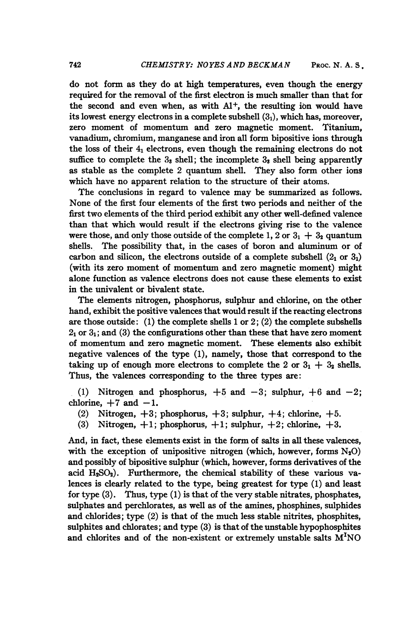do not form as they do at high temperatures, even though the energy required for the removal of the first electron is much smaller than that for the second and even when, as with  $Al^+$ , the resulting ion would have its lowest energy electrons in a complete subshell  $(3<sub>1</sub>)$ , which has, moreover, zero moment of momentum and zero magnetic moment. Titanium, vanadium, chromium, manganese and iron all form bipositive ions through the loss of their  $4<sub>1</sub>$  electrons, even though the remaining electrons do not suffice to complete the  $3_3$  shell; the incomplete  $3_3$  shell being apparently

which have no apparent relation to the structure of their atoms. The conclusions in regard to valence may be summarized as follows. None of the first four elements of the first two periods and neither of the first two elements of the third period exhibit any other well-defined valence than that which would result if the electrons giving rise to the valence were those, and only those outside of the complete 1, 2 or  $3<sub>1</sub> + 3<sub>2</sub>$  quantum shells. The possibility that, in the cases of boron and aluminum or of carbon and silicon, the electrons outside of a complete subshell  $(2_1 \text{ or } 3_1)$ (with its zero moment of momentum and zero magnetic moment) might alone function as valence electrons does not cause these elements to exist in the univalent or bivalent state.

as stable as the complete 2 quantum shell. They also form other ions

The elements nitrogen, phosphorus, sulphur and chlorine, on the other hand, exhibit the positive valences that would result if the reacting electrons are those outside: (1) the complete shells  $1$  or  $2$ ; (2) the complete subshells  $2<sub>1</sub>$  or  $3<sub>1</sub>$ ; and (3) the configurations other than these that have zero moment of momentum and zero magnetic moment. These elements also exhibit negative valences of the type (1), namely, those that correspond to the taking up of enough more electrons to complete the 2 or  $3_1 + 3_2$  shells. Thus, the valences corresponding to the three types are:

(1) Nitrogen and phosphorus,  $+5$  and  $-3$ ; sulphur,  $+6$  and  $-2$ ; chlorine,  $+7$  and  $-1$ .

- (2) Nitrogen,  $+3$ ; phosphorus,  $+3$ ; sulphur,  $+4$ ; chlorine,  $+5$ .
- (3) Nitrogen,  $+1$ ; phosphorus,  $+1$ ; sulphur,  $+2$ ; chlorine,  $+3$ .

And, in fact, these elements exist in the form of salts in all these valences, with the exception of unipositive nitrogen (which, however, forms  $N_2O$ ) and possibly of bipositive sulphur (which, however, forms derivatives of the acid  $H_2SO_2$ ). Furthermore, the chemical stability of these various valences is clearly related to the type, being greatest for type (1) and least for type (3). Thus, type (1) is that of the very stable nitrates, phosphates, sulphates and perchlorates, as well as of the amines, phosphines, sulphides and chlorides; type (2) is that of the much less stable nitrites, phosphites, sulphites and chlorates; and type (3) is that of the unstable hypophosphites and chlorites and of the non-existent or extremely unstable salts  $M<sup>I</sup>NO$